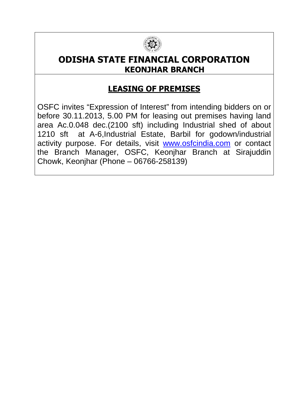

## **ODISHA STATE FINANCIAL CORPORATION KEONJHAR BRANCH**

## **LEASING OF PREMISES**

OSFC invites "Expression of Interest" from intending bidders on or before 30.11.2013, 5.00 PM for leasing out premises having land area Ac.0.048 dec.(2100 sft) including Industrial shed of about 1210 sft at A-6,Industrial Estate, Barbil for godown/industrial activity purpose. For details, visit www.osfcindia.com or contact the Branch Manager, OSFC, Keonjhar Branch at Sirajuddin Chowk, Keonjhar (Phone – 06766-258139)